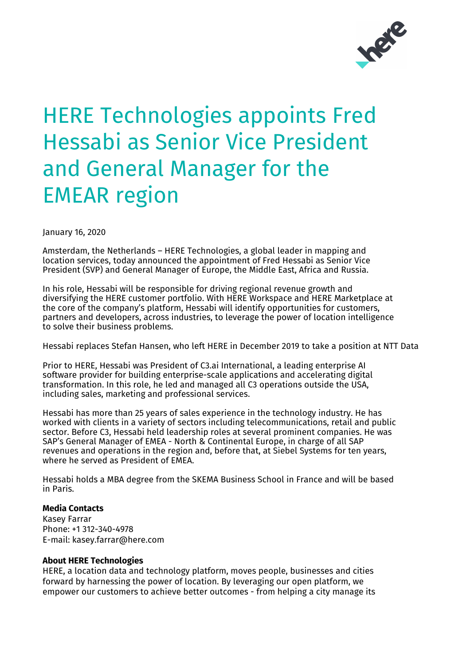

## HERE Technologies appoints Fred Hessabi as Senior Vice President and General Manager for the EMEAR region

January 16, 2020

Amsterdam, the Netherlands – HERE Technologies, a global leader in mapping and location services, today announced the appointment of Fred Hessabi as Senior Vice President (SVP) and General Manager of Europe, the Middle East, Africa and Russia.

In his role, Hessabi will be responsible for driving regional revenue growth and diversifying the HERE customer portfolio. With HERE Workspace and HERE Marketplace at the core of the company's platform, Hessabi will identify opportunities for customers, partners and developers, across industries, to leverage the power of location intelligence to solve their business problems.

Hessabi replaces Stefan Hansen, who left HERE in December 2019 to take a position at NTT Data

Prior to HERE, Hessabi was President of C3.ai International, a leading enterprise AI software provider for building enterprise-scale applications and accelerating digital transformation. In this role, he led and managed all C3 operations outside the USA, including sales, marketing and professional services.

Hessabi has more than 25 years of sales experience in the technology industry. He has worked with clients in a variety of sectors including telecommunications, retail and public sector. Before C3, Hessabi held leadership roles at several prominent companies. He was SAP's General Manager of EMEA - North & Continental Europe, in charge of all SAP revenues and operations in the region and, before that, at Siebel Systems for ten years, where he served as President of EMEA.

Hessabi holds a MBA degree from the SKEMA Business School in France and will be based in Paris.

## **Media Contacts**

Kasey Farrar Phone: +1 312-340-4978 E-mail: kasey.farrar@here.com

## **About HERE Technologies**

HERE, a location data and technology platform, moves people, businesses and cities forward by harnessing the power of location. By leveraging our open platform, we empower our customers to achieve better outcomes - from helping a city manage its